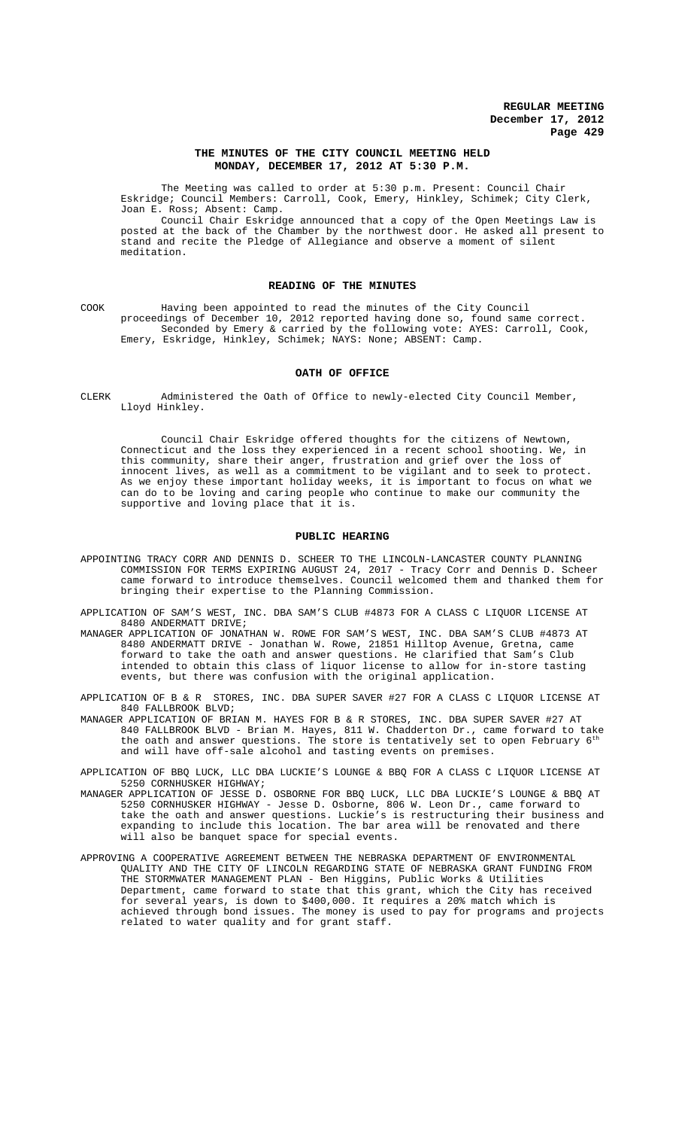### **THE MINUTES OF THE CITY COUNCIL MEETING HELD MONDAY, DECEMBER 17, 2012 AT 5:30 P.M.**

The Meeting was called to order at 5:30 p.m. Present: Council Chair Eskridge; Council Members: Carroll, Cook, Emery, Hinkley, Schimek; City Clerk, Joan E. Ross; Absent: Camp.

Council Chair Eskridge announced that a copy of the Open Meetings Law is posted at the back of the Chamber by the northwest door. He asked all present to stand and recite the Pledge of Allegiance and observe a moment of silent meditation.

### **READING OF THE MINUTES**

COOK Having been appointed to read the minutes of the City Council proceedings of December 10, 2012 reported having done so, found same correct. Seconded by Emery & carried by the following vote: AYES: Carroll, Cook, Emery, Eskridge, Hinkley, Schimek; NAYS: None; ABSENT: Camp.

### **OATH OF OFFICE**

CLERK Administered the Oath of Office to newly-elected City Council Member, Lloyd Hinkley.

Council Chair Eskridge offered thoughts for the citizens of Newtown, Connecticut and the loss they experienced in a recent school shooting. We, in this community, share their anger, frustration and grief over the loss of innocent lives, as well as a commitment to be vigilant and to seek to protect. As we enjoy these important holiday weeks, it is important to focus on what we can do to be loving and caring people who continue to make our community the supportive and loving place that it is.

#### **PUBLIC HEARING**

APPOINTING TRACY CORR AND DENNIS D. SCHEER TO THE LINCOLN-LANCASTER COUNTY PLANNING COMMISSION FOR TERMS EXPIRING AUGUST 24, 2017 - Tracy Corr and Dennis D. Scheer came forward to introduce themselves. Council welcomed them and thanked them for bringing their expertise to the Planning Commission.

APPLICATION OF SAM'S WEST, INC. DBA SAM'S CLUB #4873 FOR A CLASS C LIQUOR LICENSE AT 8480 ANDERMATT DRIVE;

MANAGER APPLICATION OF JONATHAN W. ROWE FOR SAM'S WEST, INC. DBA SAM'S CLUB #4873 AT 8480 ANDERMATT DRIVE - Jonathan W. Rowe, 21851 Hilltop Avenue, Gretna, came forward to take the oath and answer questions. He clarified that Sam's Club intended to obtain this class of liquor license to allow for in-store tasting events, but there was confusion with the original application.

STORES, INC. DBA SUPER SAVER #27 FOR A CLASS C LIQUOR LICENSE AT APPLICATION OF B & R STOR  $840$  FALLBROOK BLVD;

MANAGER APPLICATION OF BRIAN M. HAYES FOR B & R STORES, INC. DBA SUPER SAVER #27 AT 840 FALLBROOK BLVD - Brian M. Hayes, 811 W. Chadderton Dr., came forward to take the oath and answer questions. The store is tentatively set to open February  $6^{\rm th}$ and will have off-sale alcohol and tasting events on premises.

APPLICATION OF BBQ LUCK, LLC DBA LUCKIE'S LOUNGE & BBQ FOR A CLASS C LIQUOR LICENSE AT 5250 CORNHUSKER HIGHWAY;

- MANAGER APPLICATION OF JESSE D. OSBORNE FOR BBQ LUCK, LLC DBA LUCKIE'S LOUNGE & BBQ AT 5250 CORNHUSKER HIGHWAY - Jesse D. Osborne, 806 W. Leon Dr., came forward to take the oath and answer questions. Luckie's is restructuring their business and expanding to include this location. The bar area will be renovated and there will also be banquet space for special events.
- APPROVING A COOPERATIVE AGREEMENT BETWEEN THE NEBRASKA DEPARTMENT OF ENVIRONMENTAL QUALITY AND THE CITY OF LINCOLN REGARDING STATE OF NEBRASKA GRANT FUNDING FROM THE STORMWATER MANAGEMENT PLAN - Ben Higgins, Public Works & Utilities Department, came forward to state that this grant, which the City has received for several years, is down to \$400,000. It requires a 20% match which is achieved through bond issues. The money is used to pay for programs and projects related to water quality and for grant staff.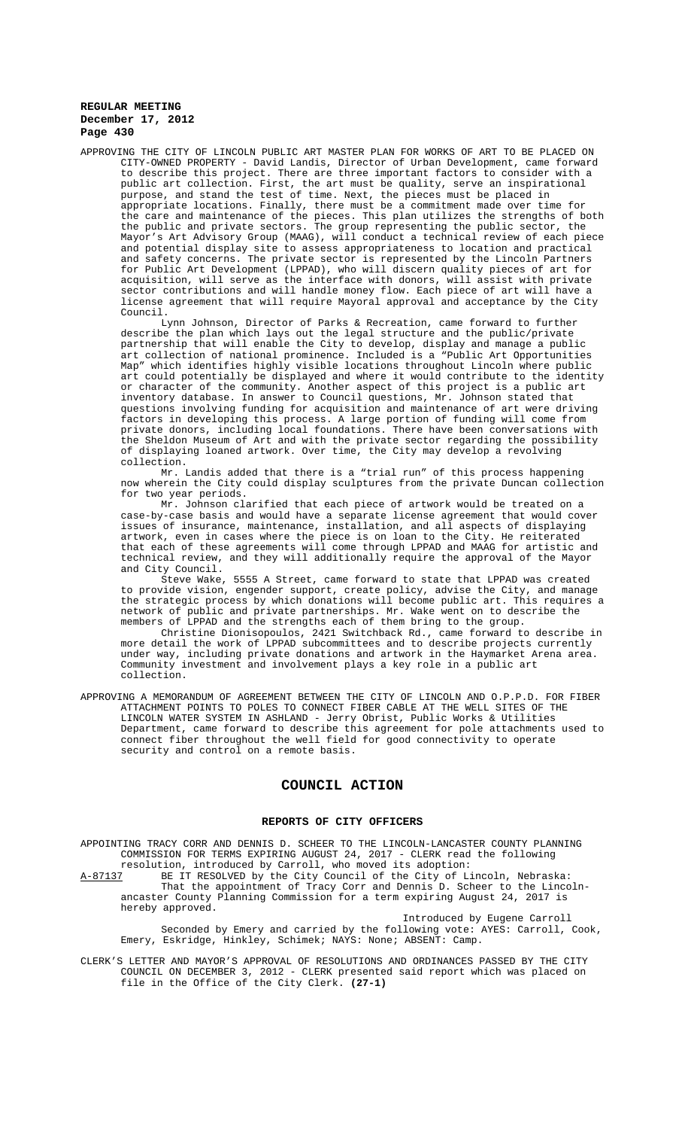APPROVING THE CITY OF LINCOLN PUBLIC ART MASTER PLAN FOR WORKS OF ART TO BE PLACED ON CITY-OWNED PROPERTY - David Landis, Director of Urban Development, came forward to describe this project. There are three important factors to consider with a public art collection. First, the art must be quality, serve an inspirational purpose, and stand the test of time. Next, the pieces must be placed in appropriate locations. Finally, there must be a commitment made over time for the care and maintenance of the pieces. This plan utilizes the strengths of both the public and private sectors. The group representing the public sector, the Mayor's Art Advisory Group (MAAG), will conduct a technical review of each piece and potential display site to assess appropriateness to location and practical and safety concerns. The private sector is represented by the Lincoln Partners for Public Art Development (LPPAD), who will discern quality pieces of art for acquisition, will serve as the interface with donors, will assist with private sector contributions and will handle money flow. Each piece of art will have a license agreement that will require Mayoral approval and acceptance by the City Council.

Lynn Johnson, Director of Parks & Recreation, came forward to further describe the plan which lays out the legal structure and the public/private partnership that will enable the City to develop, display and manage a public art collection of national prominence. Included is a "Public Art Opportunities Map" which identifies highly visible locations throughout Lincoln where public art could potentially be displayed and where it would contribute to the identity or character of the community. Another aspect of this project is a public art inventory database. In answer to Council questions, Mr. Johnson stated that questions involving funding for acquisition and maintenance of art were driving factors in developing this process. A large portion of funding will come from private donors, including local foundations. There have been conversations with the Sheldon Museum of Art and with the private sector regarding the possibility of displaying loaned artwork. Over time, the City may develop a revolving collection.

Mr. Landis added that there is a "trial run" of this process happening now wherein the City could display sculptures from the private Duncan collection for two year periods.

Mr. Johnson clarified that each piece of artwork would be treated on a case-by-case basis and would have a separate license agreement that would cover issues of insurance, maintenance, installation, and all aspects of displaying artwork, even in cases where the piece is on loan to the City. He reiterated that each of these agreements will come through LPPAD and MAAG for artistic and technical review, and they will additionally require the approval of the Mayor and City Council.

Steve Wake, 5555 A Street, came forward to state that LPPAD was created to provide vision, engender support, create policy, advise the City, and manage the strategic process by which donations will become public art. This requires a network of public and private partnerships. Mr. Wake went on to describe the members of LPPAD and the strengths each of them bring to the group.

Christine Dionisopoulos, 2421 Switchback Rd., came forward to describe in more detail the work of LPPAD subcommittees and to describe projects currently under way, including private donations and artwork in the Haymarket Arena area. Community investment and involvement plays a key role in a public art collection.

APPROVING A MEMORANDUM OF AGREEMENT BETWEEN THE CITY OF LINCOLN AND O.P.P.D. FOR FIBER<br>ATTACHMENT POINTS TO POLES TO CONNECT FIBER CABLE AT THE WELL SITES OF THE ATTACHMENT POINTS TO POLES TO CONNECT FIBER CABLE AT THE WELL SITES OF THE LINCOLN WATER SYSTEM IN ASHLAND - Jerry Obrist, Public Works & Utilities Department, came forward to describe this agreement for pole attachments used to connect fiber throughout the well field for good connectivity to operate security and control on a remote basis.

# **COUNCIL ACTION**

#### **REPORTS OF CITY OFFICERS**

APPOINTING TRACY CORR AND DENNIS D. SCHEER TO THE LINCOLN-LANCASTER COUNTY PLANNING COMMISSION FOR TERMS EXPIRING AUGUST 24, 2017 - CLERK read the following resolution, introduced by Carroll, who moved its adoption:<br>A-87137 BE IT RESOLVED by the City Council of the City of L

BE IT RESOLVED by the City Council of the City of Lincoln, Nebraska: That the appointment of Tracy Corr and Dennis D. Scheer to the Lincolnancaster County Planning Commission for a term expiring August 24, 2017 is hereby approved.

Introduced by Eugene Carroll Seconded by Emery and carried by the following vote: AYES: Carroll, Cook, Emery, Eskridge, Hinkley, Schimek; NAYS: None; ABSENT: Camp.

CLERK'S LETTER AND MAYOR'S APPROVAL OF RESOLUTIONS AND ORDINANCES PASSED BY THE CITY COUNCIL ON DECEMBER 3, 2012 - CLERK presented said report which was placed on file in the Office of the City Clerk. **(27-1)**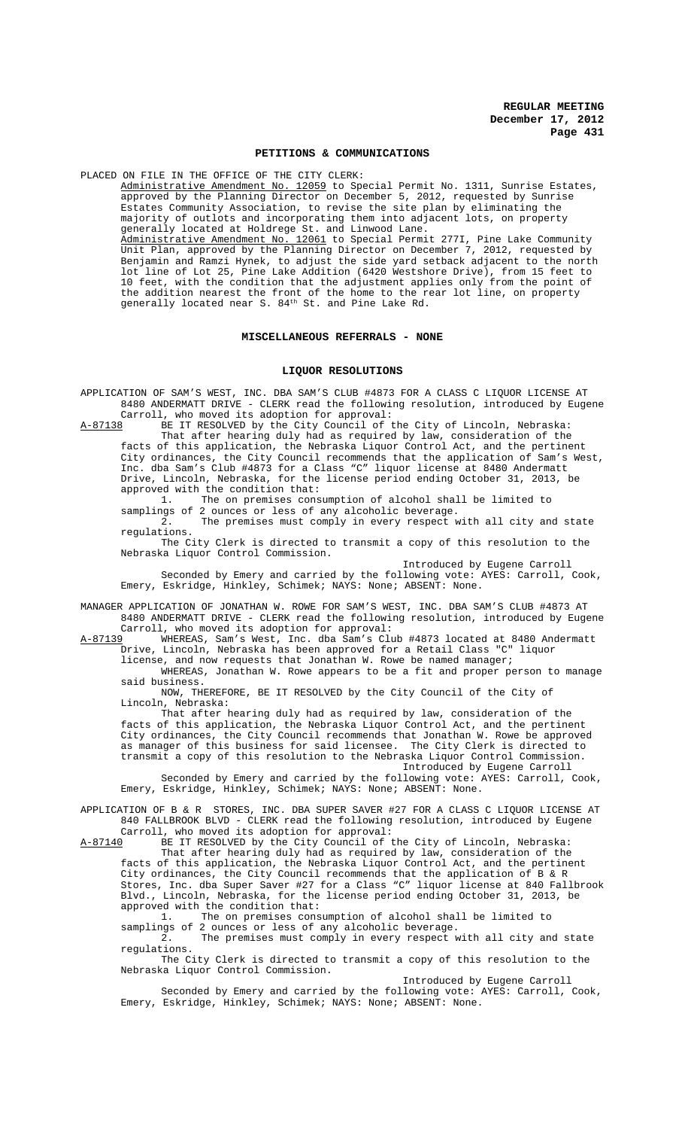### **PETITIONS & COMMUNICATIONS**

PLACED ON FILE IN THE OFFICE OF THE CITY CLERK: Administrative Amendment No. 12059 to Special Permit No. 1311, Sunrise Estates, approved by the Planning Director on December 5, 2012, requested by Sunrise Estates Community Association, to revise the site plan by eliminating the majority of outlots and incorporating them into adjacent lots, on property generally located at Holdrege St. and Linwood Lane. Administrative Amendment No. 12061 to Special Permit 277I, Pine Lake Community Unit Plan, approved by the Planning Director on December 7, 2012, requested by Benjamin and Ramzi Hynek, to adjust the side yard setback adjacent to the north lot line of Lot 25, Pine Lake Addition (6420 Westshore Drive), from 15 feet to 10 feet, with the condition that the adjustment applies only from the point of the addition nearest the front of the home to the rear lot line, on property generally located near S.  $84<sup>th</sup>$  St. and Pine Lake Rd.

#### MISCELLANEOUS REFERRALS - NONE

#### **LIQUOR RESOLUTIONS**

APPLICATION OF SAM'S WEST, INC. DBA SAM'S CLUB #4873 FOR A CLASS C LIQUOR LICENSE AT 8480 ANDERMATT DRIVE - CLERK read the following resolution, introduced by Eugene Carroll, who moved its adoption for approval:

A-87138 BE IT RESOLVED by the City Council of the City of Lincoln, Nebraska: That after hearing duly had as required by law, consideration of the

facts of this application, the Nebraska Liquor Control Act, and the pertinent City ordinances, the City Council recommends that the application of Sam's West, Inc. dba Sam's Club #4873 for a Class "C" liquor license at 8480 Andermatt Drive, Lincoln, Nebraska, for the license period ending October 31, 2013, be approved with the condition that:<br> $1.$  The on premises cons

The on premises consumption of alcohol shall be limited to samplings of 2 ounces or less of any alcoholic beverage.

2. The premises must comply in every respect with all city and state regulations.

The City Clerk is directed to transmit a copy of this resolution to the Nebraska Liquor Control Commission.

Introduced by Eugene Carroll Seconded by Emery and carried by the following vote: AYES: Carroll, Cook, Emery, Eskridge, Hinkley, Schimek; NAYS: None; ABSENT: None.

MANAGER APPLICATION OF JONATHAN W. ROWE FOR SAM'S WEST, INC. DBA SAM'S CLUB #4873 AT 8480 ANDERMATT DRIVE - CLERK read the following resolution, introduced by Eugene

Carroll, who moved its adoption for approval:<br>A-87139 WHEREAS, Sam's West, Inc. dba Sam's Clu A-87139 WHEREAS, Sam's West, Inc. dba Sam's Club #4873 located at 8480 Andermatt Drive, Lincoln, Nebraska has been approved for a Retail Class "C" liquor license, and now requests that Jonathan W. Rowe be named manager;

WHEREAS, Jonathan W. Rowe appears to be a fit and proper person to manage said business.

NOW, THEREFORE, BE IT RESOLVED by the City Council of the City of Lincoln, Nebraska:

That after hearing duly had as required by law, consideration of the facts of this application, the Nebraska Liquor Control Act, and the pertinent City ordinances, the City Council recommends that Jonathan W. Rowe be approved as manager of this business for said licensee. The City Clerk is directed to transmit a copy of this resolution to the Nebraska Liquor Control Commission. Introduced by Eugene Carroll

Seconded by Emery and carried by the following vote: AYES: Carroll, Cook, Emery, Eskridge, Hinkley, Schimek; NAYS: None; ABSENT: None.

APPLICATION OF B & R STORES, INC. DBA SUPER SAVER #27 FOR A CLASS C LIQUOR LICENSE AT 840 FALLBROOK BLVD - CLERK read the following resolution, introduced by Eugene

Carroll, who moved its adoption for approval:<br>A-87140 BE IT RESOLVED by the City Council of t BE IT RESOLVED by the City Council of the City of Lincoln, Nebraska: That after hearing duly had as required by law, consideration of the facts of this application, the Nebraska Liquor Control Act, and the pertinent City ordinances, the City Council recommends that the application of B & R Stores, Inc. dba Super Saver #27 for a Class "C" liquor license at 840 Fallbrook Blvd., Lincoln, Nebraska, for the license period ending October 31, 2013, be approved with the condition that:

1. The on premises consumption of alcohol shall be limited to samplings of 2 ounces or less of any alcoholic beverage.

2. The premises must comply in every respect with all city and state regulations.

The City Clerk is directed to transmit a copy of this resolution to the Nebraska Liquor Control Commission.

Introduced by Eugene Carroll Seconded by Emery and carried by the following vote: AYES: Carroll, Cook, Emery, Eskridge, Hinkley, Schimek; NAYS: None; ABSENT: None.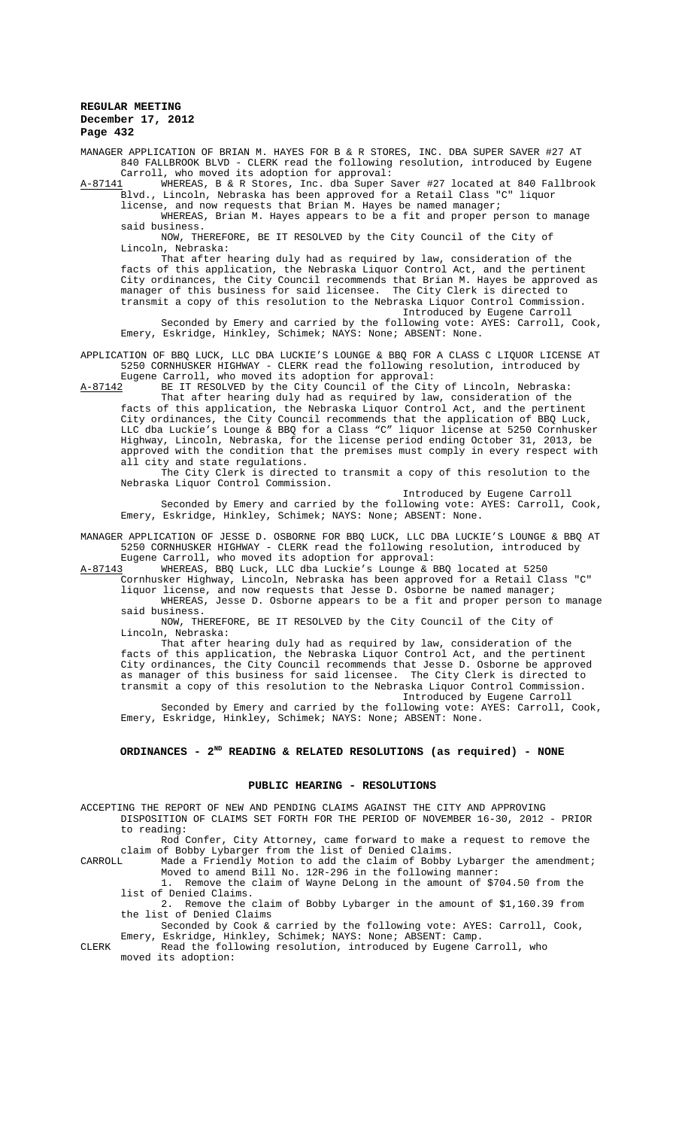MANAGER APPLICATION OF BRIAN M. HAYES FOR B & R STORES, INC. DBA SUPER SAVER #27 AT 840 FALLBROOK BLVD - CLERK read the following resolution, introduced by Eugene Carroll, who moved its adoption for approval:

A-87141 WHEREAS, B & R Stores, Inc. dba Super Saver #27 located at 840 Fallbrook Blvd., Lincoln, Nebraska has been approved for a Retail Class "C" liquor license, and now requests that Brian M. Hayes be named manager;

WHEREAS, Brian M. Hayes appears to be a fit and proper person to manage said business.

NOW, THEREFORE, BE IT RESOLVED by the City Council of the City of Lincoln, Nebraska:

That after hearing duly had as required by law, consideration of the facts of this application, the Nebraska Liquor Control Act, and the pertinent City ordinances, the City Council recommends that Brian M. Hayes be approved as manager of this business for said licensee. The City Clerk is directed to transmit a copy of this resolution to the Nebraska Liquor Control Commission. Introduced by Eugene Carroll

Seconded by Emery and carried by the following vote: AYES: Carroll, Cook, Emery, Eskridge, Hinkley, Schimek; NAYS: None; ABSENT: None.

APPLICATION OF BBQ LUCK, LLC DBA LUCKIE'S LOUNGE & BBQ FOR A CLASS C LIQUOR LICENSE AT 5250 CORNHUSKER HIGHWAY - CLERK read the following resolution, introduced by Eugene Carroll, who moved its adoption for approval:<br>A-87142 BE IT RESOLVED by the City Council of the City

BE IT RESOLVED by the City Council of the City of Lincoln, Nebraska: That after hearing duly had as required by law, consideration of the

facts of this application, the Nebraska Liquor Control Act, and the pertinent City ordinances, the City Council recommends that the application of BBQ Luck, LLC dba Luckie's Lounge & BBQ for a Class "C" liquor license at 5250 Cornhusker Highway, Lincoln, Nebraska, for the license period ending October 31, 2013, be approved with the condition that the premises must comply in every respect with all city and state regulations.

The City Clerk is directed to transmit a copy of this resolution to the Nebraska Liquor Control Commission.

Introduced by Eugene Carroll Seconded by Emery and carried by the following vote: AYES: Carroll, Cook, Emery, Eskridge, Hinkley, Schimek; NAYS: None; ABSENT: None.

MANAGER APPLICATION OF JESSE D. OSBORNE FOR BBQ LUCK, LLC DBA LUCKIE'S LOUNGE & BBQ AT 5250 CORNHUSKER HIGHWAY - CLERK read the following resolution, introduced by Eugene Carroll, who moved its adoption for approval:

A-87143 MHEREAS, BBQ Luck, LLC dba Luckie's Lounge & BBQ located at 5250

Cornhusker Highway, Lincoln, Nebraska has been approved for a Retail Class "C" liquor license, and now requests that Jesse D. Osborne be named manager; WHEREAS, Jesse D. Osborne appears to be a fit and proper person to manage

said business.

NOW, THEREFORE, BE IT RESOLVED by the City Council of the City of Lincoln, Nebraska:

That after hearing duly had as required by law, consideration of the facts of this application, the Nebraska Liquor Control Act, and the pertinent City ordinances, the City Council recommends that Jesse D. Osborne be approved as manager of this business for said licensee. The City Clerk is directed to transmit a copy of this resolution to the Nebraska Liquor Control Commission. Introduced by Eugene Carroll<br>Ning Carroll

Seconded by Emery and carried by the following vote: AYES: Carroll, Cook, Emery, Eskridge, Hinkley, Schimek; NAYS: None; ABSENT: None.

### **ORDINANCES - 2ND READING & RELATED RESOLUTIONS (as required) - NONE**

### **PUBLIC HEARING - RESOLUTIONS**

ACCEPTING THE REPORT OF NEW AND PENDING CLAIMS AGAINST THE CITY AND APPROVING DISPOSITION OF CLAIMS SET FORTH FOR THE PERIOD OF NOVEMBER 16-30, 2012 - PRIOR to reading:

Rod Confer, City Attorney, came forward to make a request to remove the claim of Bobby Lybarger from the list of Denied Claims.

CARROLL Made a Friendly Motion to add the claim of Bobby Lybarger the amendment; Moved to amend Bill No. 12R-296 in the following manner:

1. Remove the claim of Wayne DeLong in the amount of \$704.50 from the list of Denied Claims.<br>2. Remove the

2. Remove the claim of Bobby Lybarger in the amount of \$1,160.39 from the list of Denied Claims

Seconded by Cook & carried by the following vote: AYES: Carroll, Cook, Emery, Eskridge, Hinkley, Schimek; NAYS: None; ABSENT: Camp.

CLERK Read the following resolution, introduced by Eugene Carroll, who moved its adoption: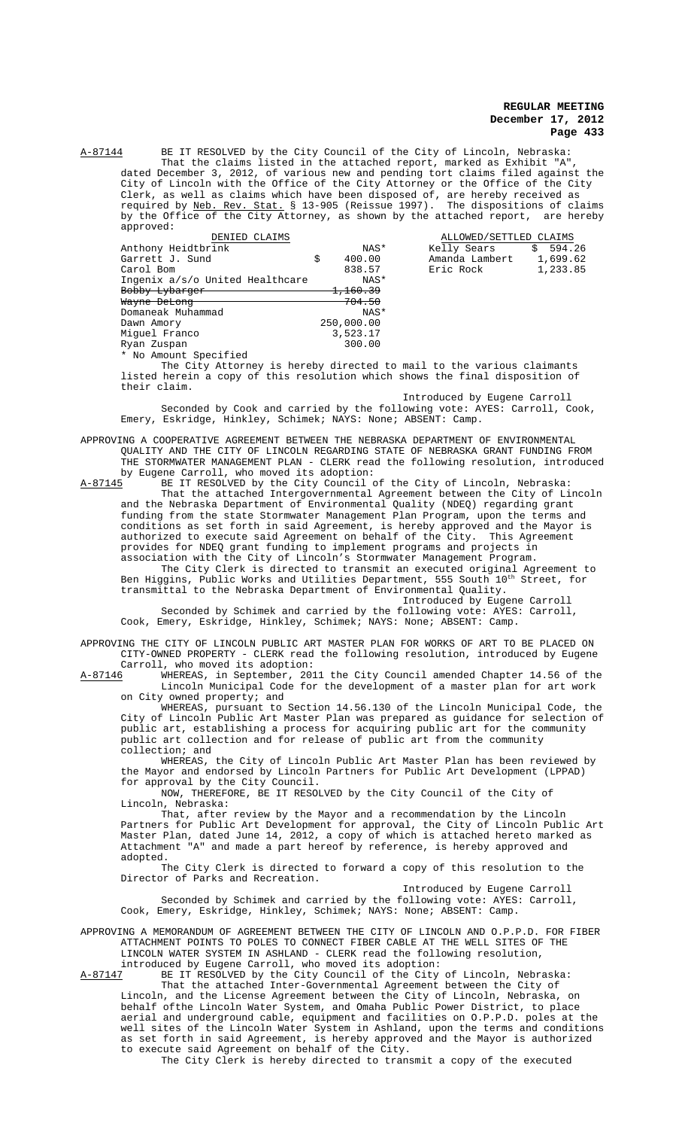A-87144 BE IT RESOLVED by the City Council of the City of Lincoln, Nebraska: That the claims listed in the attached report, marked as Exhibit "A",<br>dated December 3, 2012, of various new and pending tort claims filed agains various new and pending tort claims filed against the City of Lincoln with the Office of the City Attorney or the Office of the City Clerk, as well as claims which have been disposed of, are hereby received as required by <u>Neb. Rev. Stat.</u> § 13-905 (Reissue 1997). The dispositions of claims by the Office of the City Attorney, as shown by the attached report, are hereby approved:

| DENIED CLAIMS                   |    |                     | ALLOWED/SETTLED CLAIMS |          |
|---------------------------------|----|---------------------|------------------------|----------|
| Anthony Heidtbrink              |    | NAS*                | Kelly Sears<br>\$      | 594.26   |
| Garrett J. Sund                 | \$ | 400.00              | Amanda Lambert         | 1,699.62 |
| Carol Bom                       |    | 838.57              | Eric Rock              | 1,233.85 |
| Ingenix a/s/o United Healthcare |    | NAS*                |                        |          |
| Bobby Lybarger                  |    | <del>1,160.39</del> |                        |          |
| Wayne DeLong                    |    | <del>704.50</del>   |                        |          |
| Domaneak Muhammad               |    | NAS*                |                        |          |
| Dawn Amory                      |    | 250,000.00          |                        |          |
| Miquel Franco                   |    | 3,523.17            |                        |          |
| Ryan Zuspan                     |    | 300.00              |                        |          |
| * No Amount Specified           |    |                     |                        |          |

The City Attorney is hereby directed to mail to the various claimants listed herein a copy of this resolution which shows the final disposition of their claim.

Introduced by Eugene Carroll Seconded by Cook and carried by the following vote: AYES: Carroll, Cook, Emery, Eskridge, Hinkley, Schimek; NAYS: None; ABSENT: Camp.

APPROVING A COOPERATIVE AGREEMENT BETWEEN THE NEBRASKA DEPARTMENT OF ENVIRONMENTAL QUALITY AND THE CITY OF LINCOLN REGARDING STATE OF NEBRASKA GRANT FUNDING FROM THE STORMWATER MANAGEMENT PLAN - CLERK read the following resolution, introduced

by Eugene Carroll, who moved its adoption:<br>A-87145 BE IT RESOLVED by the City Council of A-87145 BE IT RESOLVED by the City Council of the City of Lincoln, Nebraska: That the attached Intergovernmental Agreement between the City of Lincoln and the Nebraska Department of Environmental Quality (NDEQ) regarding grant funding from the state Stormwater Management Plan Program, upon the terms and conditions as set forth in said Agreement, is hereby approved and the Mayor is authorized to execute said Agreement on behalf of the City. This Agreement provides for NDEQ grant funding to implement programs and projects in association with the City of Lincoln's Stormwater Management Program.

The City Clerk is directed to transmit an executed original Agreement to Ben Higgins, Public Works and Utilities Department, 555 South 10<sup>th</sup> Street, for transmittal to the Nebraska Department of Environmental Quality.

Introduced by Eugene Carroll Seconded by Schimek and carried by the following vote: AYES: Carroll, Cook, Emery, Eskridge, Hinkley, Schimek; NAYS: None; ABSENT: Camp.

APPROVING THE CITY OF LINCOLN PUBLIC ART MASTER PLAN FOR WORKS OF ART TO BE PLACED ON CITY-OWNED PROPERTY - CLERK read the following resolution, introduced by Eugene

Carroll, who moved its adoption:<br>A-87146 WHEREAS, in September, 201 WHEREAS, in September, 2011 the City Council amended Chapter 14.56 of the Lincoln Municipal Code for the development of a master plan for art work on City owned property; and

WHEREAS, pursuant to Section 14.56.130 of the Lincoln Municipal Code, the City of Lincoln Public Art Master Plan was prepared as guidance for selection of public art, establishing a process for acquiring public art for the community public art collection and for release of public art from the community collection; and

WHEREAS, the City of Lincoln Public Art Master Plan has been reviewed by the Mayor and endorsed by Lincoln Partners for Public Art Development (LPPAD) for approval by the City Council.

NOW, THEREFORE, BE IT RESOLVED by the City Council of the City of Lincoln, Nebraska:

That, after review by the Mayor and a recommendation by the Lincoln Partners for Public Art Development for approval, the City of Lincoln Public Art Master Plan, dated June 14, 2012, a copy of which is attached hereto marked as Attachment "A" and made a part hereof by reference, is hereby approved and adopted.

The City Clerk is directed to forward a copy of this resolution to the Director of Parks and Recreation.

Introduced by Eugene Carroll Seconded by Schimek and carried by the following vote: AYES: Carroll, Cook, Emery, Eskridge, Hinkley, Schimek; NAYS: None; ABSENT: Camp.

APPROVING A MEMORANDUM OF AGREEMENT BETWEEN THE CITY OF LINCOLN AND O.P.P.D. FOR FIBER ATTACHMENT POINTS TO POLES TO CONNECT FIBER CABLE AT THE WELL SITES OF THE LINCOLN WATER SYSTEM IN ASHLAND - CLERK read the following resolution, introduced by Eugene Carroll, who moved its adoption:

A-87147 BE IT RESOLVED by the City Council of the City of Lincoln, Nebraska: That the attached Inter-Governmental Agreement between the City of Lincoln, and the License Agreement between the City of Lincoln, Nebraska, on behalf ofthe Lincoln Water System, and Omaha Public Power District, to place aerial and underground cable, equipment and facilities on O.P.P.D. poles at the well sites of the Lincoln Water System in Ashland, upon the terms and conditions as set forth in said Agreement, is hereby approved and the Mayor is authorized to execute said Agreement on behalf of the City.

The City Clerk is hereby directed to transmit a copy of the executed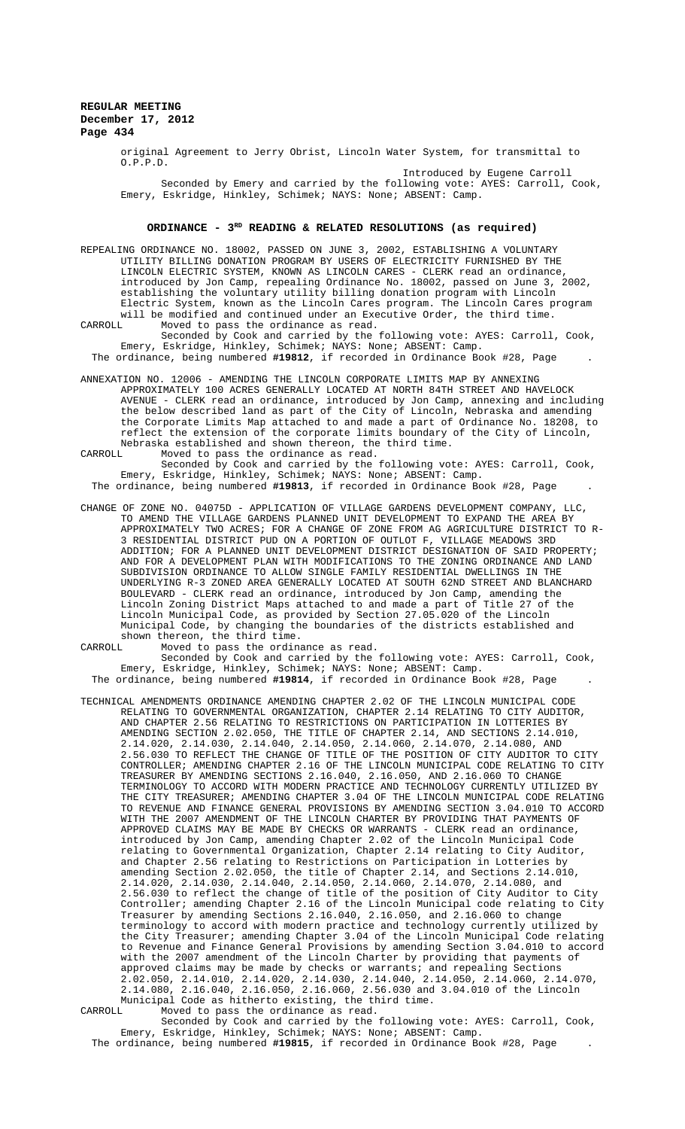original Agreement to Jerry Obrist, Lincoln Water System, for transmittal to O.P.P.D.

Introduced by Eugene Carroll Seconded by Emery and carried by the following vote: AYES: Carroll, Cook, Emery, Eskridge, Hinkley, Schimek; NAYS: None; ABSENT: Camp.

## ORDINANCE -  $3^{RD}$  READING & RELATED RESOLUTIONS (as required)

REPEALING ORDINANCE NO. 18002, PASSED ON JUNE 3, 2002, ESTABLISHING A VOLUNTARY UTILITY BILLING DONATION PROGRAM BY USERS OF ELECTRICITY FURNISHED BY THE LINCOLN ELECTRIC SYSTEM, KNOWN AS LINCOLN CARES - CLERK read an ordinance, introduced by Jon Camp, repealing Ordinance No. 18002, passed on June 3, 2002, establishing the voluntary utility billing donation program with Lincoln Electric System, known as the Lincoln Cares program. The Lincoln Cares program will be modified and continued under an Executive Order, the third time.<br>CARROLL Moved to pass the ordinance as read.

CARROLL Moved to pass the ordinance as read. Seconded by Cook and carried by the following vote: AYES: Carroll, Cook,

Emery, Eskridge, Hinkley, Schimek; NAYS: None; ABSENT: Camp. The ordinance, being numbered **#19812**, if recorded in Ordinance Book #28, Page .

ANNEXATION NO. 12006 - AMENDING THE LINCOLN CORPORATE LIMITS MAP BY ANNEXING APPROXIMATELY 100 ACRES GENERALLY LOCATED AT NORTH 84TH STREET AND HAVELOCK AVENUE - CLERK read an ordinance, introduced by Jon Camp, annexing and including the below described land as part of the City of Lincoln, Nebraska and amending the Corporate Limits Map attached to and made a part of Ordinance No. 18208, to reflect the extension of the corporate limits boundary of the City of Lincoln, Nebraska established and shown thereon, the third time.<br>CARROLL Moved to pass the ordinance as read Moved to pass the ordinance as read.

Seconded by Cook and carried by the following vote: AYES: Carroll, Cook, Emery, Eskridge, Hinkley, Schimek; NAYS: None; ABSENT: Camp. The ordinance, being numbered **#19813**, if recorded in Ordinance Book #28, Page .

- CHANGE OF ZONE NO. 04075D APPLICATION OF VILLAGE GARDENS DEVELOPMENT COMPANY, LLC, TO AMEND THE VILLAGE GARDENS PLANNED UNIT DEVELOPMENT TO EXPAND THE AREA BY APPROXIMATELY TWO ACRES; FOR A CHANGE OF ZONE FROM AG AGRICULTURE DISTRICT TO R-3 RESIDENTIAL DISTRICT PUD ON A PORTION OF OUTLOT F, VILLAGE MEADOWS 3RD ADDITION; FOR A PLANNED UNIT DEVELOPMENT DISTRICT DESIGNATION OF SAID PROPERTY; AND FOR A DEVELOPMENT PLAN WITH MODIFICATIONS TO THE ZONING ORDINANCE AND LAND SUBDIVISION ORDINANCE TO ALLOW SINGLE FAMILY RESIDENTIAL DWELLINGS IN THE UNDERLYING R-3 ZONED AREA GENERALLY LOCATED AT SOUTH 62ND STREET AND BLANCHARD BOULEVARD - CLERK read an ordinance, introduced by Jon Camp, amending the Lincoln Zoning District Maps attached to and made a part of Title 27 of the Lincoln Municipal Code, as provided by Section 27.05.020 of the Lincoln Municipal Code, by changing the boundaries of the districts established and shown thereon, the third time.
- CARROLL Moved to pass the ordinance as read.

Seconded by Cook and carried by the following vote: AYES: Carroll, Cook, Emery, Eskridge, Hinkley, Schimek; NAYS: None; ABSENT: Camp. The ordinance, being numbered **#19814**, if recorded in Ordinance Book #28, Page .

TECHNICAL AMENDMENTS ORDINANCE AMENDING CHAPTER 2.02 OF THE LINCOLN MUNICIPAL CODE RELATING TO GOVERNMENTAL ORGANIZATION, CHAPTER 2.14 RELATING TO CITY AUDITOR, AND CHAPTER 2.56 RELATING TO RESTRICTIONS ON PARTICIPATION IN LOTTERIES BY AMENDING SECTION 2.02.050, THE TITLE OF CHAPTER 2.14, AND SECTIONS 2.14.010, 2.14.020, 2.14.030, 2.14.040, 2.14.050, 2.14.060, 2.14.070, 2.14.080, AND 2.56.030 TO REFLECT THE CHANGE OF TITLE OF THE POSITION OF CITY AUDITOR TO CITY CONTROLLER; AMENDING CHAPTER 2.16 OF THE LINCOLN MUNICIPAL CODE RELATING TO CITY TREASURER BY AMENDING SECTIONS 2.16.040, 2.16.050, AND 2.16.060 TO CHANGE TERMINOLOGY TO ACCORD WITH MODERN PRACTICE AND TECHNOLOGY CURRENTLY UTILIZED BY THE CITY TREASURER; AMENDING CHAPTER 3.04 OF THE LINCOLN MUNICIPAL CODE RELATING TO REVENUE AND FINANCE GENERAL PROVISIONS BY AMENDING SECTION 3.04.010 TO ACCORD WITH THE 2007 AMENDMENT OF THE LINCOLN CHARTER BY PROVIDING THAT PAYMENTS OF APPROVED CLAIMS MAY BE MADE BY CHECKS OR WARRANTS - CLERK read an ordinance, introduced by Jon Camp, amending Chapter 2.02 of the Lincoln Municipal Code relating to Governmental Organization, Chapter 2.14 relating to City Auditor, and Chapter 2.56 relating to Restrictions on Participation in Lotteries by amending Section 2.02.050, the title of Chapter 2.14, and Sections 2.14.01 the title of Chapter  $2.14$ , and Sections  $2.14.010$ , 2.14.020, 2.14.030, 2.14.040, 2.14.050, 2.14.060, 2.14.070, 2.14.080, and 2.56.030 to reflect the change of title of the position of City Auditor to City Controller; amending Chapter 2.16 of the Lincoln Municipal code relating to City Treasurer by amending Sections 2.16.040, 2.16.050, and 2.16.060 to change terminology to accord with modern practice and technology currently utilized by the City Treasurer; amending Chapter 3.04 of the Lincoln Municipal Code relating to Revenue and Finance General Provisions by amending Section 3.04.010 to accord with the 2007 amendment of the Lincoln Charter by providing that payments of approved claims may be made by checks or warrants; and repealing Sections 2.02.050, 2.14.010, 2.14.020, 2.14.030, 2.14.040, 2.14.050, 2.14.060, 2.14.070, 2.14.080, 2.16.040, 2.16.050, 2.16.060, 2.56.030 and 3.04.010 of the Lincoln Municipal Code as hitherto existing, the third time.<br>CARROLL Moved to pass the ordinance as read.

CARROLL Moved to pass the ordinance as read.

Seconded by Cook and carried by the following vote: AYES: Carroll, Cook, Emery, Eskridge, Hinkley, Schimek; NAYS: None; ABSENT: Camp. The ordinance, being numbered **#19815**, if recorded in Ordinance Book #28, Page .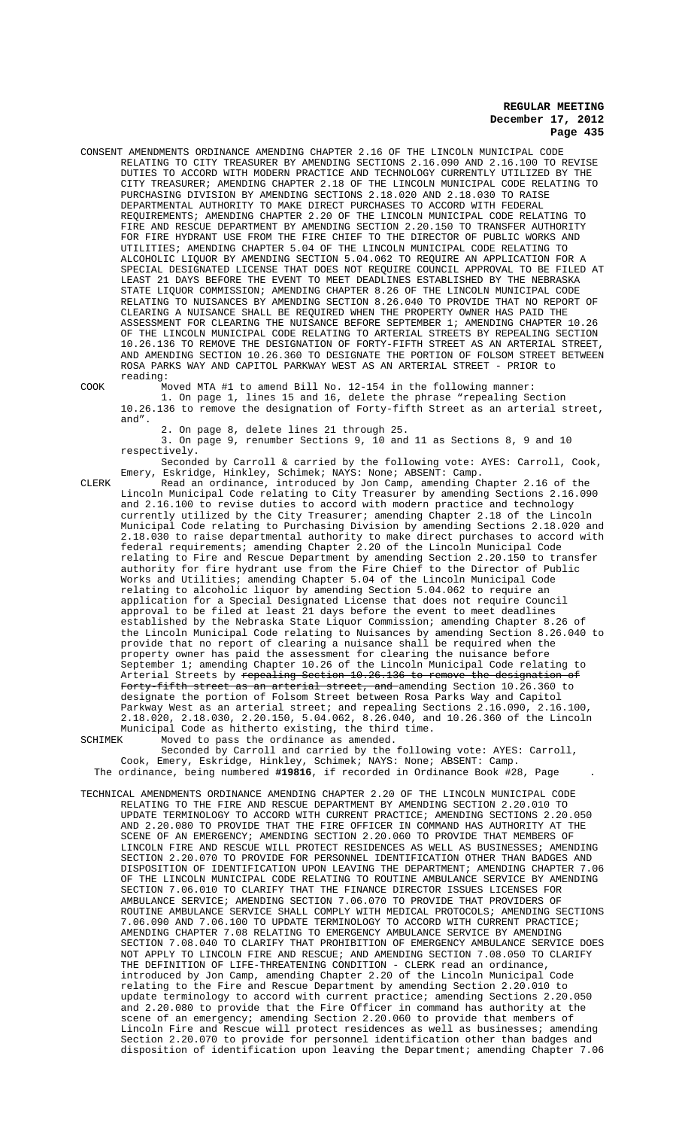CONSENT AMENDMENTS ORDINANCE AMENDING CHAPTER 2.16 OF THE LINCOLN MUNICIPAL CODE - LELATING TO CITY TREASURER BY AMENDING SECTIONS 2.16.090 AND 2.16.100 TO REVISE<br>DUTIES TO ACCORD WITH MODERN PRACTICE AND TECHNOLOGY CURRENTLY UTILIZED BY THE DUTIES TO ACCORD WITH MODERN PRACTICE AND TECHNOLOGY CURRENTLY UTILIZED BY THE CITY TREASURER; AMENDING CHAPTER 2.18 OF THE LINCOLN MUNICIPAL CODE RELATING TO PURCHASING DIVISION BY AMENDING SECTIONS 2.18.020 AND 2.18.030 TO RAISE DEPARTMENTAL AUTHORITY TO MAKE DIRECT PURCHASES TO ACCORD WITH FEDERAL REQUIREMENTS; AMENDING CHAPTER 2.20 OF THE LINCOLN MUNICIPAL CODE RELATING TO FIRE AND RESCUE DEPARTMENT BY AMENDING SECTION 2.20.150 TO TRANSFER AUTHORITY FOR FIRE HYDRANT USE FROM THE FIRE CHIEF TO THE DIRECTOR OF PUBLIC WORKS AND UTILITIES; AMENDING CHAPTER 5.04 OF THE LINCOLN MUNICIPAL CODE RELATING TO ALCOHOLIC LIQUOR BY AMENDING SECTION 5.04.062 TO REQUIRE AN APPLICATION FOR A SPECIAL DESIGNATED LICENSE THAT DOES NOT REQUIRE COUNCIL APPROVAL TO BE FILED AT LEAST 21 DAYS BEFORE THE EVENT TO MEET DEADLINES ESTABLISHED BY THE NEBRASKA STATE LIQUOR COMMISSION; AMENDING CHAPTER 8.26 OF THE LINCOLN MUNICIPAL CODE RELATING TO NUISANCES BY AMENDING SECTION 8.26.040 TO PROVIDE THAT NO REPORT OF CLEARING A NUISANCE SHALL BE REQUIRED WHEN THE PROPERTY OWNER HAS PAID THE ASSESSMENT FOR CLEARING THE NUISANCE BEFORE SEPTEMBER 1; AMENDING CHAPTER 10.26 OF THE LINCOLN MUNICIPAL CODE RELATING TO ARTERIAL STREETS BY REPEALING SECTION 10.26.136 TO REMOVE THE DESIGNATION OF FORTY-FIFTH STREET AS AN ARTERIAL STREET, AND AMENDING SECTION 10.26.360 TO DESIGNATE THE PORTION OF FOLSOM STREET BETWEEN ROSA PARKS WAY AND CAPITOL PARKWAY WEST AS AN ARTERIAL STREET - PRIOR to reading:

COOK Moved MTA #1 to amend Bill No. 12-154 in the following manner:

1. On page 1, lines 15 and 16, delete the phrase "repealing Section 10.26.136 to remove the designation of Forty-fifth Street as an arterial street, and".

2. On page 8, delete lines 21 through 25.

3. On page 9, renumber Sections 9, 10 and 11 as Sections 8, 9 and 10 respectively.

Seconded by Carroll & carried by the following vote: AYES: Carroll, Cook, Emery, Eskridge, Hinkley, Schimek; NAYS: None; ABSENT: Camp.

CLERK Read an ordinance, introduced by Jon Camp, amending Chapter 2.16 of the Lincoln Municipal Code relating to City Treasurer by amending Sections 2.16.090 and 2.16.100 to revise duties to accord with modern practice and technology currently utilized by the City Treasurer; amending Chapter 2.18 of the Lincoln Municipal Code relating to Purchasing Division by amending Sections 2.18.020 and 2.18.030 to raise departmental authority to make direct purchases to accord with federal requirements; amending Chapter 2.20 of the Lincoln Municipal Code relating to Fire and Rescue Department by amending Section 2.20.150 to transfer authority for fire hydrant use from the Fire Chief to the Director of Public Works and Utilities; amending Chapter 5.04 of the Lincoln Municipal Code relating to alcoholic liquor by amending Section 5.04.062 to require an application for a Special Designated License that does not require Council approval to be filed at least 21 days before the event to meet deadlines established by the Nebraska State Liquor Commission; amending Chapter 8.26 of the Lincoln Municipal Code relating to Nuisances by amending Section 8.26.040 to provide that no report of clearing a nuisance shall be required when the property owner has paid the assessment for clearing the nuisance before September 1; amending Chapter 10.26 of the Lincoln Municipal Code relating to Arterial Streets by <del>repealing Section 10.26.136 to remove the designation of</del> Forty-fifth street as an arterial street, and amending Section 10.26.360 to designate the portion of Folsom Street between Rosa Parks Way and Capitol<br>Parkway West as an arterial street; and repealing Sections 2.16.090. 2.16.100. Parkway West as an arterial street; and repealing Sections  $2.16.090$ , 2.18.020, 2.18.030, 2.20.150, 5.04.062, 8.26.040, and 10.26.360 of the Lincoln Municipal Code as hitherto existing, the third time.<br>SCHIMEK Moved to pass the ordinance as amended Moved to pass the ordinance as amended.

Seconded by Carroll and carried by the following vote: AYES: Carroll, Cook, Emery, Eskridge, Hinkley, Schimek; NAYS: None; ABSENT: Camp. The ordinance, being numbered **#19816**, if recorded in Ordinance Book #28, Page .

TECHNICAL AMENDMENTS ORDINANCE AMENDING CHAPTER 2.20 OF THE LINCOLN MUNICIPAL CODE RELATING TO THE FIRE AND RESCUE DEPARTMENT BY AMENDING SECTION 2.20.010 TO UPDATE TERMINOLOGY TO ACCORD WITH CURRENT PRACTICE; AMENDING SECTIONS 2.20.050 AND 2.20.080 TO PROVIDE THAT THE FIRE OFFICER IN COMMAND HAS AUTHORITY AT THE SCENE OF AN EMERGENCY; AMENDING SECTION 2.20.060 TO PROVIDE THAT MEMBERS OF LINCOLN FIRE AND RESCUE WILL PROTECT RESIDENCES AS WELL AS BUSINESSES; AMENDING SECTION 2.20.070 TO PROVIDE FOR PERSONNEL IDENTIFICATION OTHER THAN BADGES AND DISPOSITION OF IDENTIFICATION UPON LEAVING THE DEPARTMENT; AMENDING CHAPTER 7.06 OF THE LINCOLN MUNICIPAL CODE RELATING TO ROUTINE AMBULANCE SERVICE BY AMENDING SECTION 7.06.010 TO CLARIFY THAT THE FINANCE DIRECTOR ISSUES LICENSES FOR AMBULANCE SERVICE; AMENDING SECTION 7.06.070 TO PROVIDE THAT PROVIDERS OF ROUTINE AMBULANCE SERVICE SHALL COMPLY WITH MEDICAL PROTOCOLS; AMENDING SECTIONS 7.06.090 AND 7.06.100 TO UPDATE TERMINOLOGY TO ACCORD WITH CURRENT PRACTICE; AMENDING CHAPTER 7.08 RELATING TO EMERGENCY AMBULANCE SERVICE BY AMENDING SECTION 7.08.040 TO CLARIFY THAT PROHIBITION OF EMERGENCY AMBULANCE SERVICE DOES NOT APPLY TO LINCOLN FIRE AND RESCUE; AND AMENDING SECTION 7.08.050 TO CLARIFY THE DEFINITION OF LIFE-THREATENING CONDITION - CLERK read an ordinance, introduced by Jon Camp, amending Chapter 2.20 of the Lincoln Municipal Code relating to the Fire and Rescue Department by amending Section 2.20.010 to update terminology to accord with current practice; amending Sections 2.20.050 and 2.20.080 to provide that the Fire Officer in command has authority at the scene of an emergency; amending Section 2.20.060 to provide that members of Lincoln Fire and Rescue will protect residences as well as businesses; amending Section 2.20.070 to provide for personnel identification other than badges and disposition of identification upon leaving the Department; amending Chapter 7.06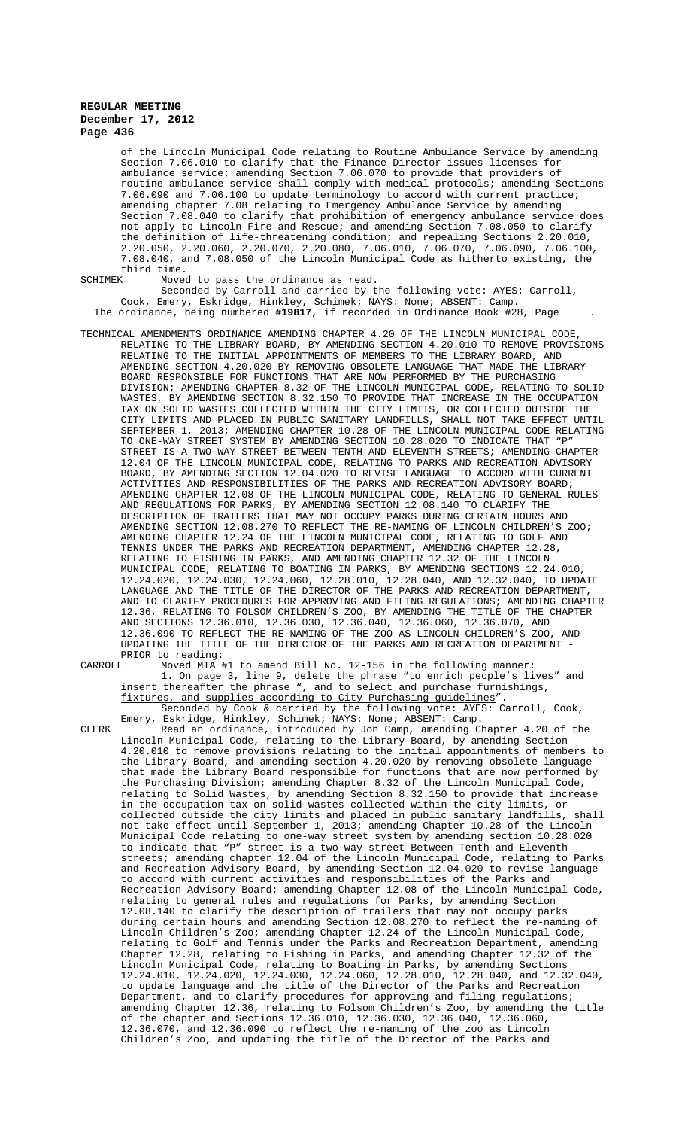of the Lincoln Municipal Code relating to Routine Ambulance Service by amending Section 7.06.010 to clarify that the Finance Director issues licenses for ambulance service; amending Section 7.06.070 to provide that providers of routine ambulance service shall comply with medical protocols; amending Sections 7.06.090 and 7.06.100 to update terminology to accord with current practice; amending chapter 7.08 relating to Emergency Ambulance Service by amending Section 7.08.040 to clarify that prohibition of emergency ambulance service does not apply to Lincoln Fire and Rescue; and amending Section 7.08.050 to clarify the definition of life-threatening condition; and repealing Sections 2.20.010, 2.20.050, 2.20.060, 2.20.070, 2.20.080, 7.06.010, 7.06.070, 7.06.090, 7.06.100, 7.08.040, and 7.08.050 of the Lincoln Municipal Code as hitherto existing, the third time.

SCHIMEK Moved to pass the ordinance as read.

Seconded by Carroll and carried by the following vote: AYES: Carroll, Cook, Emery, Eskridge, Hinkley, Schimek; NAYS: None; ABSENT: Camp. The ordinance, being numbered **#19817**, if recorded in Ordinance Book #28, Page .

TECHNICAL AMENDMENTS ORDINANCE AMENDING CHAPTER 4.20 OF THE LINCOLN MUNICIPAL CODE, RELATING TO THE LIBRARY BOARD, BY AMENDING SECTION 4.20.010 TO REMOVE PROVISIONS RELATING TO THE INITIAL APPOINTMENTS OF MEMBERS TO THE LIBRARY BOARD, AND AMENDING SECTION 4.20.020 BY REMOVING OBSOLETE LANGUAGE THAT MADE THE LIBRARY BOARD RESPONSIBLE FOR FUNCTIONS THAT ARE NOW PERFORMED BY THE PURCHASING DIVISION; AMENDING CHAPTER 8.32 OF THE LINCOLN MUNICIPAL CODE, RELATING TO SOLID WASTES, BY AMENDING SECTION 8.32.150 TO PROVIDE THAT INCREASE IN THE OCCUPATION TAX ON SOLID WASTES COLLECTED WITHIN THE CITY LIMITS, OR COLLECTED OUTSIDE THE CITY LIMITS AND PLACED IN PUBLIC SANITARY LANDFILLS, SHALL NOT TAKE EFFECT UNTIL SEPTEMBER 1, 2013; AMENDING CHAPTER 10.28 OF THE LINCOLN MUNICIPAL CODE RELATING TO ONE-WAY STREET SYSTEM BY AMENDING SECTION 10.28.020 TO INDICATE THAT "P" STREET IS A TWO-WAY STREET BETWEEN TENTH AND ELEVENTH STREETS; AMENDING CHAPTER 12.04 OF THE LINCOLN MUNICIPAL CODE, RELATING TO PARKS AND RECREATION ADVISORY BOARD, BY AMENDING SECTION 12.04.020 TO REVISE LANGUAGE TO ACCORD WITH CURRENT ACTIVITIES AND RESPONSIBILITIES OF THE PARKS AND RECREATION ADVISORY BOARD; AMENDING CHAPTER 12.08 OF THE LINCOLN MUNICIPAL CODE, RELATING TO GENERAL RULES AND REGULATIONS FOR PARKS, BY AMENDING SECTION 12.08.140 TO CLARIFY THE DESCRIPTION OF TRAILERS THAT MAY NOT OCCUPY PARKS DURING CERTAIN HOURS AND AMENDING SECTION 12.08.270 TO REFLECT THE RE-NAMING OF LINCOLN CHILDREN'S ZOO; AMENDING CHAPTER 12.24 OF THE LINCOLN MUNICIPAL CODE, RELATING TO GOLF AND TENNIS UNDER THE PARKS AND RECREATION DEPARTMENT, AMENDING CHAPTER 12.28, RELATING TO FISHING IN PARKS, AND AMENDING CHAPTER 12.32 OF THE LINCOLN MUNICIPAL CODE, RELATING TO BOATING IN PARKS, BY AMENDING SECTIONS 12.24.010, 12.24.020, 12.24.030, 12.24.060, 12.28.010, 12.28.040, AND 12.32.040, TO UPDATE LANGUAGE AND THE TITLE OF THE DIRECTOR OF THE PARKS AND RECREATION DEPARTMENT, AND TO CLARIFY PROCEDURES FOR APPROVING AND FILING REGULATIONS; AMENDING CHAPTER 12.36, RELATING TO FOLSOM CHILDREN'S ZOO, BY AMENDING THE TITLE OF THE CHAPTER AND SECTIONS 12.36.010, 12.36.030, 12.36.040, 12.36.060, 12.36.070, AND 12.36.090 TO REFLECT THE RE-NAMING OF THE ZOO AS LINCOLN CHILDREN'S ZOO, AND UPDATING THE TITLE OF THE DIRECTOR OF THE PARKS AND RECREATION DEPARTMENT - PRIOR to reading:<br>CARROLL Moved MTA

Moved MTA #1 to amend Bill No. 12-156 in the following manner: 1. On page 3, line 9, delete the phrase "to enrich people's lives" and insert thereafter the phrase ", and to select and purchase furnishings, fixtures, and supplies according to City Purchasing guidelines".

Seconded by Cook & carried by the following vote: AYES: Carroll, Cook, Emery, Eskridge, Hinkley, Schimek; NAYS: None; ABSENT: Camp.

CLERK Read an ordinance, introduced by Jon Camp, amending Chapter 4.20 of the Lincoln Municipal Code, relating to the Library Board, by amending Section 4.20.010 to remove provisions relating to the initial appointments of members to the Library Board, and amending section 4.20.020 by removing obsolete language that made the Library Board responsible for functions that are now performed by the Purchasing Division; amending Chapter 8.32 of the Lincoln Municipal Code, relating to Solid Wastes, by amending Section 8.32.150 to provide that increase in the occupation tax on solid wastes collected within the city limits, collected outside the city limits and placed in public sanitary landfills, shall not take effect until September 1, 2013; amending Chapter 10.28 of the Lincoln Municipal Code relating to one-way street system by amending section 10.28.020 to indicate that "P" street is a two-way street Between Tenth and Eleventh streets; amending chapter 12.04 of the Lincoln Municipal Code, relating to Parks and Recreation Advisory Board, by amending Section 12.04.020 to revise language to accord with current activities and responsibilities of the Parks and Recreation Advisory Board; amending Chapter 12.08 of the Lincoln Municipal Code, relating to general rules and regulations for Parks, by amending Section 12.08.140 to clarify the description of trailers that may not occupy parks during certain hours and amending Section 12.08.270 to reflect the re-naming of Lincoln Children's Zoo; amending Chapter 12.24 of the Lincoln Municipal Code, relating to Golf and Tennis under the Parks and Recreation Department, amending Chapter 12.28, relating to Fishing in Parks, and amending Chapter 12.32 of the Lincoln Municipal Code, relating to Boating in Parks, by amending Sections 12.24.010, 12.24.020, 12.24.030, 12.24.060, 12.28.010, 12.28.040, and 12.32.040, to update language and the title of the Director of the Parks and Recreation Department, and to clarify procedures for approving and filing regulations; amending Chapter 12.36, relating to Folsom Children's Zoo, by amending the title of the chapter and Sections 12.36.010, 12.36.030, 12.36.040, 12.36.060, 12.36.070, and 12.36.090 to reflect the re-naming of the zoo as Lincoln Children's Zoo, and updating the title of the Director of the Parks and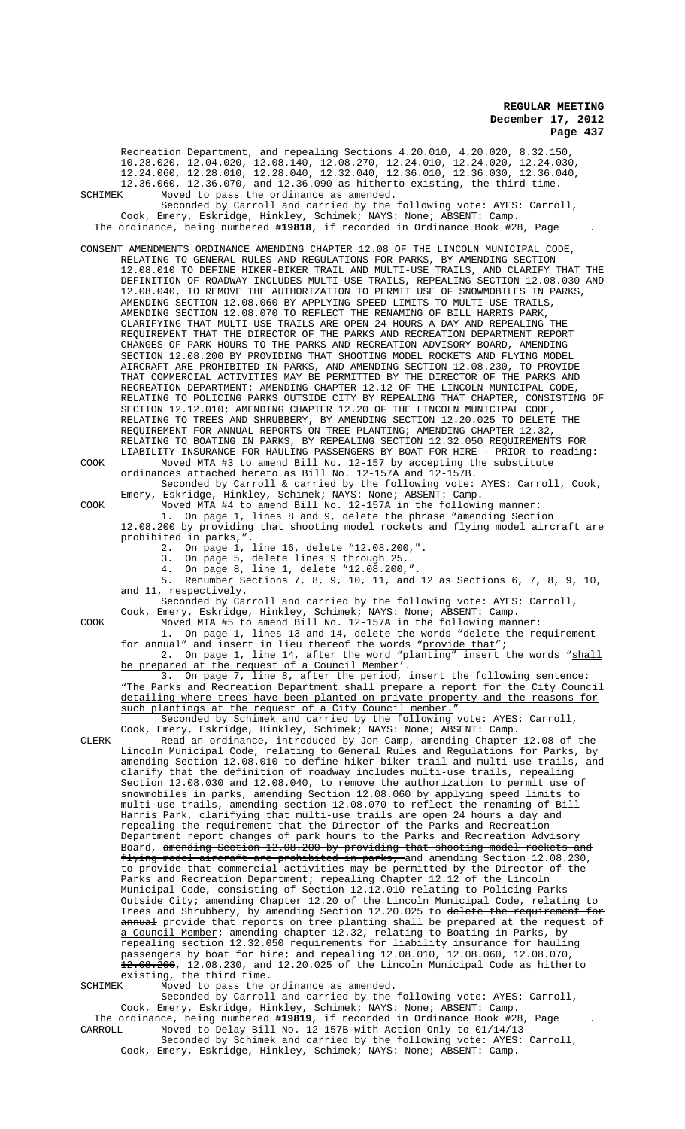Recreation Department, and repealing Sections 4.20.010, 4.20.020, 8.32.150, 10.28.020, 12.04.020, 12.08.140, 12.08.270, 12.24.010, 12.24.020, 12.24.030, 12.24.060, 12.28.010, 12.28.040, 12.32.040, 12.36.010, 12.36.030, 12.36.040, 12.36.060, 12.36.070, and 12.36.090 as hitherto existing, the third time.<br>SCHIMEK Moved to pass the ordinance as amended. SCHIMEK Moved to pass the ordinance as amended. Seconded by Carroll and carried by the following vote: AYES: Carroll, Cook, Emery, Eskridge, Hinkley, Schimek; NAYS: None; ABSENT: Camp. The ordinance, being numbered **#19818**, if recorded in Ordinance Book #28, Page . CONSENT AMENDMENTS ORDINANCE AMENDING CHAPTER 12.08 OF THE LINCOLN MUNICIPAL CODE, RELATING TO GENERAL RULES AND REGULATIONS FOR PARKS, BY AMENDING SECTION 12.08.010 TO DEFINE HIKER-BIKER TRAIL AND MULTI-USE TRAILS, AND CLARIFY THAT THE DEFINITION OF ROADWAY INCLUDES MULTI-USE TRAILS, REPEALING SECTION 12.08.030 AND 12.08.040, TO REMOVE THE AUTHORIZATION TO PERMIT USE OF SNOWMOBILES IN PARKS, AMENDING SECTION 12.08.060 BY APPLYING SPEED LIMITS TO MULTI-USE TRAILS, AMENDING SECTION 12.08.070 TO REFLECT THE RENAMING OF BILL HARRIS PARK, CLARIFYING THAT MULTI-USE TRAILS ARE OPEN 24 HOURS A DAY AND REPEALING THE REQUIREMENT THAT THE DIRECTOR OF THE PARKS AND RECREATION DEPARTMENT REPORT CHANGES OF PARK HOURS TO THE PARKS AND RECREATION ADVISORY BOARD, AMENDING SECTION 12.08.200 BY PROVIDING THAT SHOOTING MODEL ROCKETS AND FLYING MODEL AIRCRAFT ARE PROHIBITED IN PARKS, AND AMENDING SECTION 12.08.230, TO PROVIDE THAT COMMERCIAL ACTIVITIES MAY BE PERMITTED BY THE DIRECTOR OF THE PARKS AND RECREATION DEPARTMENT; AMENDING CHAPTER 12.12 OF THE LINCOLN MUNICIPAL CODE, RELATING TO POLICING PARKS OUTSIDE CITY BY REPEALING THAT CHAPTER, CONSISTING OF SECTION 12.12.010; AMENDING CHAPTER 12.20 OF THE LINCOLN MUNICIPAL CODE, RELATING TO TREES AND SHRUBBERY, BY AMENDING SECTION 12.20.025 TO DELETE THE REQUIREMENT FOR ANNUAL REPORTS ON TREE PLANTING; AMENDING CHAPTER 12.32, RELATING TO BOATING IN PARKS, BY REPEALING SECTION 12.32.050 REQUIREMENTS FOR LIABILITY INSURANCE FOR HAULING PASSENGERS BY BOAT FOR HIRE - PRIOR to reading: COOK Moved MTA #3 to amend Bill No. 12-157 by accepting the substitute ordinances attached hereto as Bill No. 12-157A and 12-157B. Seconded by Carroll & carried by the following vote: AYES: Carroll, Cook, Emery, Eskridge, Hinkley, Schimek; NAYS: None; ABSENT: Camp. COOK Moved MTA #4 to amend Bill No. 12-157A in the following manner: 1. On page 1, lines 8 and 9, delete the phrase "amending Section 12.08.200 by providing that shooting model rockets and flying model aircraft are prohibited in parks,". 2. On page 1, line 16, delete "12.08.200,". 3. On page 5, delete lines 9 through 25. 4. On page 8, line 1, delete "12.08.200,". 5. Renumber Sections 7, 8, 9, 10, 11, and 12 as Sections 6, 7, 8, 9, 10, and 11, respectively. Seconded by Carroll and carried by the following vote: AYES: Carroll, Cook, Emery, Eskridge, Hinkley, Schimek; NAYS: None; ABSENT: Camp. COOK Moved MTA #5 to amend Bill No. 12-157A in the following manner: 1. On page 1, lines 13 and 14, delete the words "delete the requirement for annual" and insert in lieu thereof the words "provide that"; 2. On page 1, line 14, after the word "planting" insert the words "shall be prepared at the request of a Council Member'. 3. On page 7, line 8, after the period, insert the following sentence: "The Parks and Recreation Department shall prepare a report for the City Council detailing where trees have been planted on private property and the reasons for such plantings at the request of a City Council member." Seconded by Schimek and carried by the following vote: AYES: Carroll, Cook, Emery, Eskridge, Hinkley, Schimek; NAYS: None; ABSENT: Camp. CLERK Read an ordinance, introduced by Jon Camp, amending Chapter 12.08 of the Lincoln Municipal Code, relating to General Rules and Regulations for Parks, by amending Section 12.08.010 to define hiker-biker trail and multi-use trails, and clarify that the definition of roadway includes multi-use trails, repealing Section 12.08.030 and 12.08.040, to remove the authorization to permit use of snowmobiles in parks, amending Section 12.08.060 by applying speed limits to multi-use trails, amending section 12.08.070 to reflect the renaming of Bill Harris Park, clarifying that multi-use trails are open 24 hours a day and repealing the requirement that the Director of the Parks and Recreation Department report changes of park hours to the Parks and Recreation Advisory Board, <del>amending Section 12.08.200 by providing that shooting model rockets and</del> flying model aircraft are prohibited in parks, and amending Section 12.08.230, to provide that commercial activities may be permitted by the Director of the Parks and Recreation Department; repealing Chapter 12.12 of the Lincoln Municipal Code, consisting of Section 12.12.010 relating to Policing Parks Outside City; amending Chapter 12.20 of the Lincoln Municipal Code, relating to Trees and Shrubbery, by amending Section 12.20.025 to delete the requirement annual provide that reports on tree planting shall be prepared at the request of a Council Member; amending chapter 12.32, relating to Boating in Parks, by repealing section 12.32.050 requirements for liability insurance for hauling passengers by boat for hire; and repealing 12.08.010, 12.08.060, 12.08.070, 12.08.200, 12.08.230, and 12.20.025 of the Lincoln Municipal Code as hitherto existing, the third time. SCHIMEK Moved to pass the ordinance as amended. Seconded by Carroll and carried by the following vote: AYES: Carroll, Cook, Emery, Eskridge, Hinkley, Schimek; NAYS: None; ABSENT: Camp. The ordinance, being numbered **#19819**, if recorded in Ordinance Book #28, Page .

CARROLL Moved to Delay Bill No. 12-157B with Action Only to 01/14/13 Seconded by Schimek and carried by the following vote: AYES: Carroll, Cook, Emery, Eskridge, Hinkley, Schimek; NAYS: None; ABSENT: Camp.